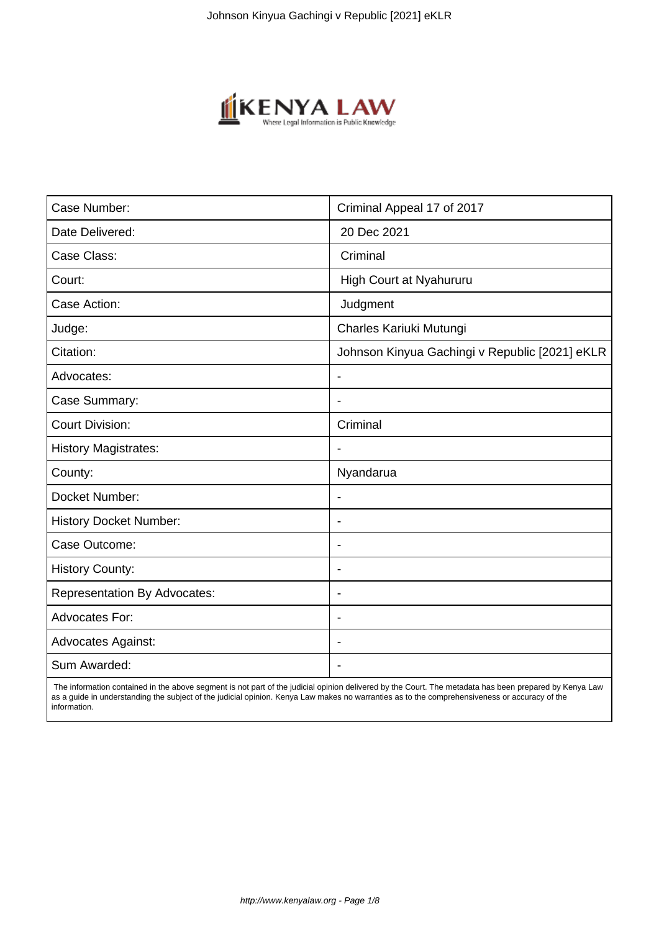

| Case Number:                        | Criminal Appeal 17 of 2017                     |
|-------------------------------------|------------------------------------------------|
| Date Delivered:                     | 20 Dec 2021                                    |
| Case Class:                         | Criminal                                       |
| Court:                              | High Court at Nyahururu                        |
| Case Action:                        | Judgment                                       |
| Judge:                              | Charles Kariuki Mutungi                        |
| Citation:                           | Johnson Kinyua Gachingi v Republic [2021] eKLR |
| Advocates:                          | $\blacksquare$                                 |
| Case Summary:                       | $\blacksquare$                                 |
| <b>Court Division:</b>              | Criminal                                       |
| <b>History Magistrates:</b>         |                                                |
| County:                             | Nyandarua                                      |
| Docket Number:                      | $\blacksquare$                                 |
| <b>History Docket Number:</b>       |                                                |
| Case Outcome:                       | $\blacksquare$                                 |
| <b>History County:</b>              | $\blacksquare$                                 |
| <b>Representation By Advocates:</b> | $\overline{\phantom{a}}$                       |
| <b>Advocates For:</b>               | $\overline{\phantom{a}}$                       |
| <b>Advocates Against:</b>           |                                                |
| Sum Awarded:                        |                                                |

 The information contained in the above segment is not part of the judicial opinion delivered by the Court. The metadata has been prepared by Kenya Law as a guide in understanding the subject of the judicial opinion. Kenya Law makes no warranties as to the comprehensiveness or accuracy of the information.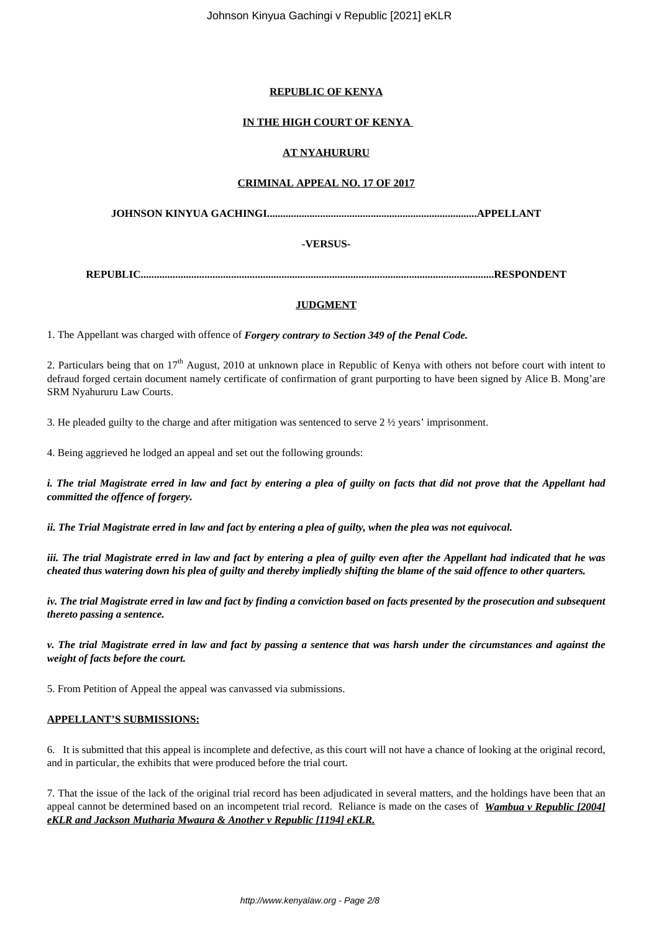Johnson Kinyua Gachingi v Republic [2021] eKLR

## **REPUBLIC OF KENYA**

# **IN THE HIGH COURT OF KENYA**

## **AT NYAHURURU**

## **CRIMINAL APPEAL NO. 17 OF 2017**

**JOHNSON KINYUA GACHINGI...............................................................................APPELLANT**

# **-VERSUS-**

**REPUBLIC.....................................................................................................................................RESPONDENT**

# **JUDGMENT**

1. The Appellant was charged with offence of *Forgery contrary to Section 349 of the Penal Code.*

2. Particulars being that on  $17<sup>th</sup>$  August, 2010 at unknown place in Republic of Kenya with others not before court with intent to defraud forged certain document namely certificate of confirmation of grant purporting to have been signed by Alice B. Mong'are SRM Nyahururu Law Courts.

3. He pleaded guilty to the charge and after mitigation was sentenced to serve  $2\frac{1}{2}$  years' imprisonment.

4. Being aggrieved he lodged an appeal and set out the following grounds:

*i. The trial Magistrate erred in law and fact by entering a plea of guilty on facts that did not prove that the Appellant had committed the offence of forgery.*

*ii. The Trial Magistrate erred in law and fact by entering a plea of guilty, when the plea was not equivocal.*

*iii. The trial Magistrate erred in law and fact by entering a plea of guilty even after the Appellant had indicated that he was cheated thus watering down his plea of guilty and thereby impliedly shifting the blame of the said offence to other quarters.*

*iv. The trial Magistrate erred in law and fact by finding a conviction based on facts presented by the prosecution and subsequent thereto passing a sentence.*

*v. The trial Magistrate erred in law and fact by passing a sentence that was harsh under the circumstances and against the weight of facts before the court.*

5. From Petition of Appeal the appeal was canvassed via submissions.

## **APPELLANT'S SUBMISSIONS:**

6. It is submitted that this appeal is incomplete and defective, as this court will not have a chance of looking at the original record, and in particular, the exhibits that were produced before the trial court.

7. That the issue of the lack of the original trial record has been adjudicated in several matters, and the holdings have been that an appeal cannot be determined based on an incompetent trial record. Reliance is made on the cases of *Wambua v Republic [2004] eKLR and Jackson Mutharia Mwaura & Another v Republic [1194] eKLR.*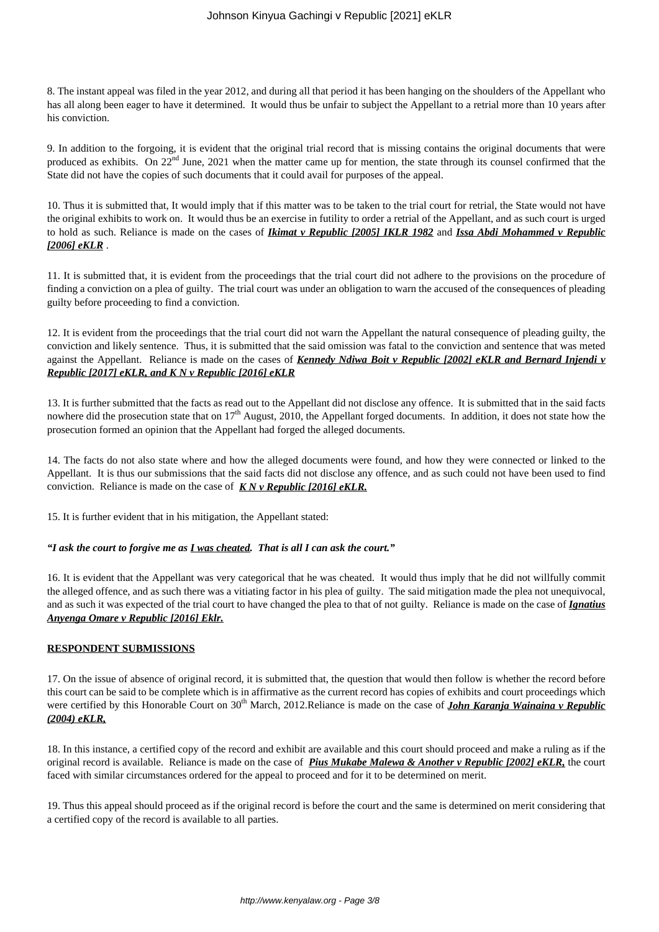8. The instant appeal was filed in the year 2012, and during all that period it has been hanging on the shoulders of the Appellant who has all along been eager to have it determined. It would thus be unfair to subject the Appellant to a retrial more than 10 years after his conviction.

9. In addition to the forgoing, it is evident that the original trial record that is missing contains the original documents that were produced as exhibits. On 22<sup>nd</sup> June, 2021 when the matter came up for mention, the state through its counsel confirmed that the State did not have the copies of such documents that it could avail for purposes of the appeal.

10. Thus it is submitted that, It would imply that if this matter was to be taken to the trial court for retrial, the State would not have the original exhibits to work on. It would thus be an exercise in futility to order a retrial of the Appellant, and as such court is urged to hold as such. Reliance is made on the cases of *Ikimat v Republic [2005] IKLR 1982* and *Issa Abdi Mohammed v Republic [2006] eKLR* .

11. It is submitted that, it is evident from the proceedings that the trial court did not adhere to the provisions on the procedure of finding a conviction on a plea of guilty. The trial court was under an obligation to warn the accused of the consequences of pleading guilty before proceeding to find a conviction.

12. It is evident from the proceedings that the trial court did not warn the Appellant the natural consequence of pleading guilty, the conviction and likely sentence. Thus, it is submitted that the said omission was fatal to the conviction and sentence that was meted against the Appellant. Reliance is made on the cases of *Kennedy Ndiwa Boit v Republic [2002] eKLR and Bernard Injendi v Republic [2017] eKLR, and K N v Republic [2016] eKLR*

13. It is further submitted that the facts as read out to the Appellant did not disclose any offence. It is submitted that in the said facts nowhere did the prosecution state that on  $17<sup>th</sup>$  August, 2010, the Appellant forged documents. In addition, it does not state how the prosecution formed an opinion that the Appellant had forged the alleged documents.

14. The facts do not also state where and how the alleged documents were found, and how they were connected or linked to the Appellant. It is thus our submissions that the said facts did not disclose any offence, and as such could not have been used to find conviction. Reliance is made on the case of *K N v Republic [2016] eKLR.*

15. It is further evident that in his mitigation, the Appellant stated:

## *"I ask the court to forgive me as I was cheated. That is all I can ask the court."*

16. It is evident that the Appellant was very categorical that he was cheated. It would thus imply that he did not willfully commit the alleged offence, and as such there was a vitiating factor in his plea of guilty. The said mitigation made the plea not unequivocal, and as such it was expected of the trial court to have changed the plea to that of not guilty. Reliance is made on the case of *Ignatius Anyenga Omare v Republic [2016] Eklr.*

## **RESPONDENT SUBMISSIONS**

17. On the issue of absence of original record, it is submitted that, the question that would then follow is whether the record before this court can be said to be complete which is in affirmative as the current record has copies of exhibits and court proceedings which were certified by this Honorable Court on 30<sup>th</sup> March, 2012.Reliance is made on the case of *John Karanja Wainaina v Republic (2004) eKLR,*

18. In this instance, a certified copy of the record and exhibit are available and this court should proceed and make a ruling as if the original record is available. Reliance is made on the case of *Pius Mukabe Malewa & Another v Republic [2002] eKLR,* the court faced with similar circumstances ordered for the appeal to proceed and for it to be determined on merit.

19. Thus this appeal should proceed as if the original record is before the court and the same is determined on merit considering that a certified copy of the record is available to all parties.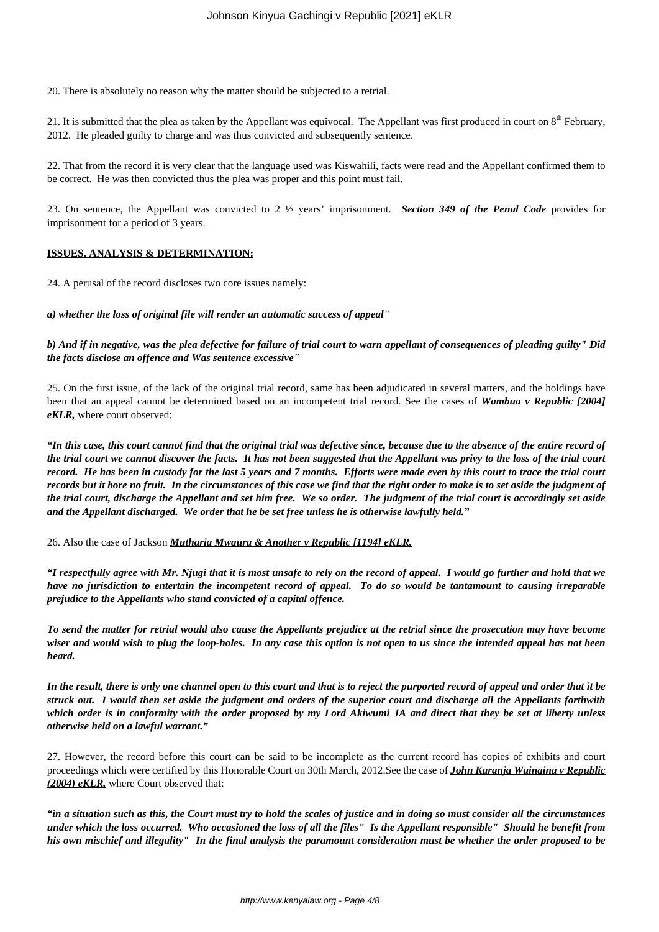20. There is absolutely no reason why the matter should be subjected to a retrial.

21. It is submitted that the plea as taken by the Appellant was equivocal. The Appellant was first produced in court on  $8<sup>th</sup>$  February, 2012. He pleaded guilty to charge and was thus convicted and subsequently sentence.

22. That from the record it is very clear that the language used was Kiswahili, facts were read and the Appellant confirmed them to be correct. He was then convicted thus the plea was proper and this point must fail.

23. On sentence, the Appellant was convicted to 2 ½ years' imprisonment. *Section 349 of the Penal Code* provides for imprisonment for a period of 3 years.

## **ISSUES, ANALYSIS & DETERMINATION:**

24. A perusal of the record discloses two core issues namely:

### *a) whether the loss of original file will render an automatic success of appeal"*

*b) And if in negative, was the plea defective for failure of trial court to warn appellant of consequences of pleading guilty" Did the facts disclose an offence and Was sentence excessive"*

25. On the first issue, of the lack of the original trial record, same has been adjudicated in several matters, and the holdings have been that an appeal cannot be determined based on an incompetent trial record. See the cases of *Wambua v Republic [2004] eKLR,* where court observed:

*"In this case, this court cannot find that the original trial was defective since, because due to the absence of the entire record of the trial court we cannot discover the facts. It has not been suggested that the Appellant was privy to the loss of the trial court record. He has been in custody for the last 5 years and 7 months. Efforts were made even by this court to trace the trial court records but it bore no fruit. In the circumstances of this case we find that the right order to make is to set aside the judgment of the trial court, discharge the Appellant and set him free. We so order. The judgment of the trial court is accordingly set aside and the Appellant discharged. We order that he be set free unless he is otherwise lawfully held."*

26. Also the case of Jackson *Mutharia Mwaura & Another v Republic [1194] eKLR,*

*"I respectfully agree with Mr. Njugi that it is most unsafe to rely on the record of appeal. I would go further and hold that we have no jurisdiction to entertain the incompetent record of appeal. To do so would be tantamount to causing irreparable prejudice to the Appellants who stand convicted of a capital offence.*

*To send the matter for retrial would also cause the Appellants prejudice at the retrial since the prosecution may have become wiser and would wish to plug the loop-holes. In any case this option is not open to us since the intended appeal has not been heard.*

*In the result, there is only one channel open to this court and that is to reject the purported record of appeal and order that it be struck out. I would then set aside the judgment and orders of the superior court and discharge all the Appellants forthwith which order is in conformity with the order proposed by my Lord Akiwumi JA and direct that they be set at liberty unless otherwise held on a lawful warrant."*

27. However, the record before this court can be said to be incomplete as the current record has copies of exhibits and court proceedings which were certified by this Honorable Court on 30th March, 2012.See the case of *John Karanja Wainaina v Republic (2004) eKLR,* where Court observed that:

*"in a situation such as this, the Court must try to hold the scales of justice and in doing so must consider all the circumstances under which the loss occurred. Who occasioned the loss of all the files" Is the Appellant responsible" Should he benefit from his own mischief and illegality" In the final analysis the paramount consideration must be whether the order proposed to be*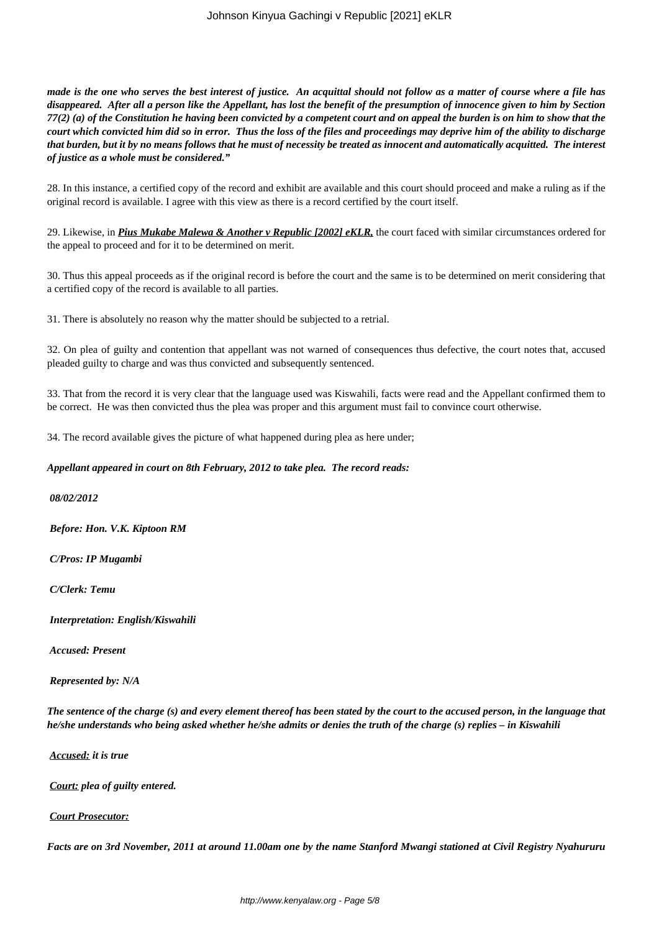*made is the one who serves the best interest of justice. An acquittal should not follow as a matter of course where a file has disappeared. After all a person like the Appellant, has lost the benefit of the presumption of innocence given to him by Section 77(2) (a) of the Constitution he having been convicted by a competent court and on appeal the burden is on him to show that the court which convicted him did so in error. Thus the loss of the files and proceedings may deprive him of the ability to discharge that burden, but it by no means follows that he must of necessity be treated as innocent and automatically acquitted. The interest of justice as a whole must be considered."*

28. In this instance, a certified copy of the record and exhibit are available and this court should proceed and make a ruling as if the original record is available. I agree with this view as there is a record certified by the court itself.

29. Likewise, in *Pius Mukabe Malewa & Another v Republic [2002] eKLR,* the court faced with similar circumstances ordered for the appeal to proceed and for it to be determined on merit.

30. Thus this appeal proceeds as if the original record is before the court and the same is to be determined on merit considering that a certified copy of the record is available to all parties.

31. There is absolutely no reason why the matter should be subjected to a retrial.

32. On plea of guilty and contention that appellant was not warned of consequences thus defective, the court notes that, accused pleaded guilty to charge and was thus convicted and subsequently sentenced.

33. That from the record it is very clear that the language used was Kiswahili, facts were read and the Appellant confirmed them to be correct. He was then convicted thus the plea was proper and this argument must fail to convince court otherwise.

34. The record available gives the picture of what happened during plea as here under;

*Appellant appeared in court on 8th February, 2012 to take plea. The record reads:*

*08/02/2012*

*Before: Hon. V.K. Kiptoon RM*

*C/Pros: IP Mugambi* 

*C/Clerk: Temu*

*Interpretation: English/Kiswahili*

*Accused: Present*

*Represented by: N/A*

*The sentence of the charge (s) and every element thereof has been stated by the court to the accused person, in the language that he/she understands who being asked whether he/she admits or denies the truth of the charge (s) replies – in Kiswahili*

*Accused: it is true*

*Court: plea of guilty entered.*

## *Court Prosecutor:*

*Facts are on 3rd November, 2011 at around 11.00am one by the name Stanford Mwangi stationed at Civil Registry Nyahururu*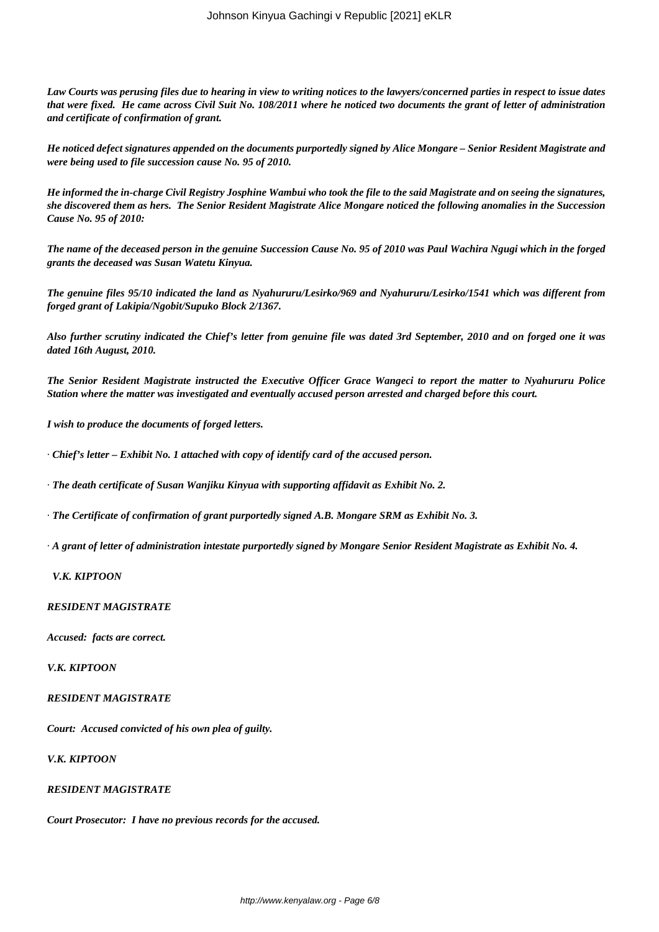*Law Courts was perusing files due to hearing in view to writing notices to the lawyers/concerned parties in respect to issue dates that were fixed. He came across Civil Suit No. 108/2011 where he noticed two documents the grant of letter of administration and certificate of confirmation of grant.*

*He noticed defect signatures appended on the documents purportedly signed by Alice Mongare – Senior Resident Magistrate and were being used to file succession cause No. 95 of 2010.*

*He informed the in-charge Civil Registry Josphine Wambui who took the file to the said Magistrate and on seeing the signatures, she discovered them as hers. The Senior Resident Magistrate Alice Mongare noticed the following anomalies in the Succession Cause No. 95 of 2010:*

*The name of the deceased person in the genuine Succession Cause No. 95 of 2010 was Paul Wachira Ngugi which in the forged grants the deceased was Susan Watetu Kinyua.*

*The genuine files 95/10 indicated the land as Nyahururu/Lesirko/969 and Nyahururu/Lesirko/1541 which was different from forged grant of Lakipia/Ngobit/Supuko Block 2/1367.*

*Also further scrutiny indicated the Chief's letter from genuine file was dated 3rd September, 2010 and on forged one it was dated 16th August, 2010.*

*The Senior Resident Magistrate instructed the Executive Officer Grace Wangeci to report the matter to Nyahururu Police Station where the matter was investigated and eventually accused person arrested and charged before this court.*

*I wish to produce the documents of forged letters.*

· *Chief's letter – Exhibit No. 1 attached with copy of identify card of the accused person.*

· *The death certificate of Susan Wanjiku Kinyua with supporting affidavit as Exhibit No. 2.*

· *The Certificate of confirmation of grant purportedly signed A.B. Mongare SRM as Exhibit No. 3.*

· *A grant of letter of administration intestate purportedly signed by Mongare Senior Resident Magistrate as Exhibit No. 4.*

### *V.K. KIPTOON*

#### *RESIDENT MAGISTRATE*

*Accused: facts are correct.*

*V.K. KIPTOON*

#### *RESIDENT MAGISTRATE*

*Court: Accused convicted of his own plea of guilty.*

*V.K. KIPTOON*

### *RESIDENT MAGISTRATE*

*Court Prosecutor: I have no previous records for the accused.*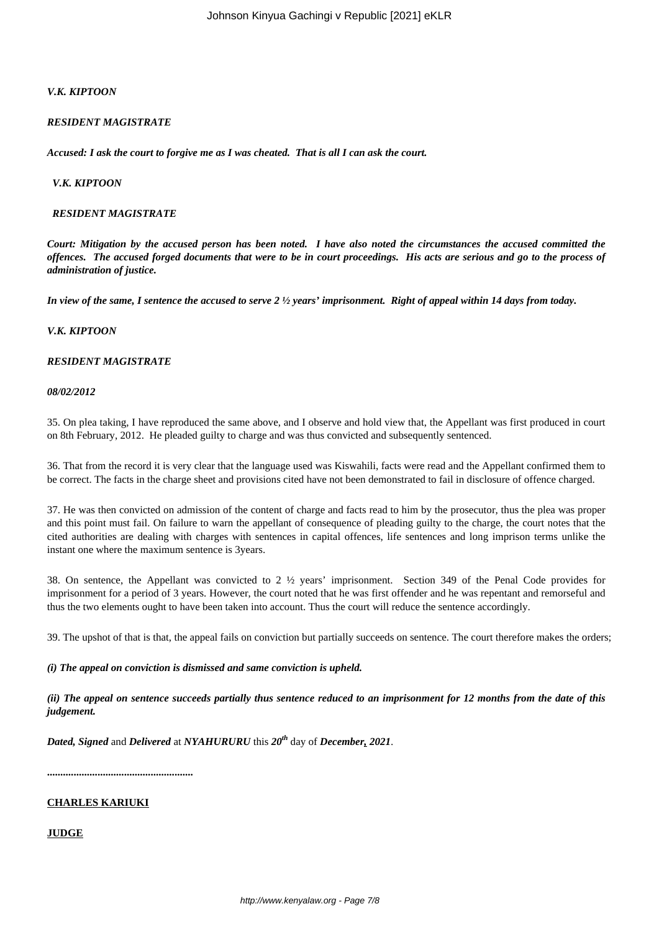## *V.K. KIPTOON*

### *RESIDENT MAGISTRATE*

*Accused: I ask the court to forgive me as I was cheated. That is all I can ask the court.*

### *V.K. KIPTOON*

### *RESIDENT MAGISTRATE*

*Court: Mitigation by the accused person has been noted. I have also noted the circumstances the accused committed the offences. The accused forged documents that were to be in court proceedings. His acts are serious and go to the process of administration of justice.*

*In view of the same, I sentence the accused to serve 2 ½ years' imprisonment. Right of appeal within 14 days from today.*

### *V.K. KIPTOON*

### *RESIDENT MAGISTRATE*

#### *08/02/2012*

35. On plea taking, I have reproduced the same above, and I observe and hold view that, the Appellant was first produced in court on 8th February, 2012. He pleaded guilty to charge and was thus convicted and subsequently sentenced.

36. That from the record it is very clear that the language used was Kiswahili, facts were read and the Appellant confirmed them to be correct. The facts in the charge sheet and provisions cited have not been demonstrated to fail in disclosure of offence charged.

37. He was then convicted on admission of the content of charge and facts read to him by the prosecutor, thus the plea was proper and this point must fail. On failure to warn the appellant of consequence of pleading guilty to the charge, the court notes that the cited authorities are dealing with charges with sentences in capital offences, life sentences and long imprison terms unlike the instant one where the maximum sentence is 3years.

38. On sentence, the Appellant was convicted to 2 ½ years' imprisonment. Section 349 of the Penal Code provides for imprisonment for a period of 3 years. However, the court noted that he was first offender and he was repentant and remorseful and thus the two elements ought to have been taken into account. Thus the court will reduce the sentence accordingly.

39. The upshot of that is that, the appeal fails on conviction but partially succeeds on sentence. The court therefore makes the orders;

#### *(i) The appeal on conviction is dismissed and same conviction is upheld.*

*(ii) The appeal on sentence succeeds partially thus sentence reduced to an imprisonment for 12 months from the date of this judgement.* 

*Dated, Signed* and *Delivered* at *NYAHURURU* this *20th* day of *December, 2021*.

**.......................................................**

## **CHARLES KARIUKI**

## **JUDGE**